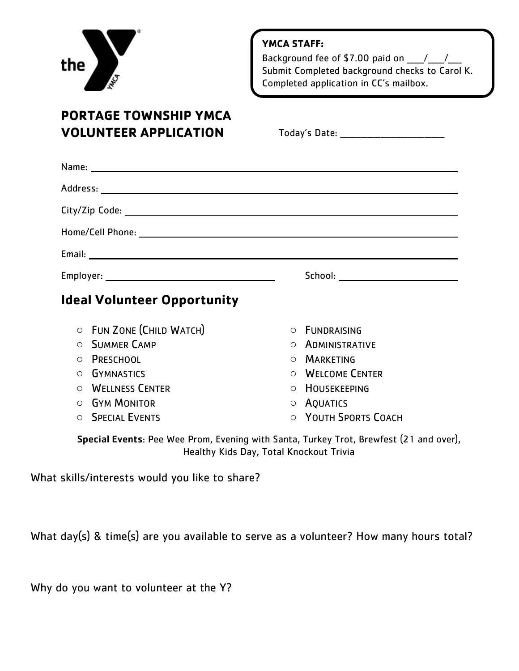

## **PORTAGE TOWNSHIP YMCA VOLUNTEER APPLICATION**

## **YMCA STAFF:**

Background fee of \$7.00 paid on  $\frac{1}{\sqrt{2}}$ Submit Completed background checks to Carol K. Completed application in CC's mailbox.

Today's Date: **with a set of the UK of the UK of the UK** of the UK of the UK of the UK of the UK of the UK of the U

| <b>Ideal Volunteer Opportunity</b>  |                        |
|-------------------------------------|------------------------|
| $\circ$ FUN ZONE (CHILD WATCH)      | O FUNDRAISING          |
| <b>SUMMER CAMP</b><br>$\bigcap$     | O ADMINISTRATIVE       |
| PRESCHOOL<br>$\Omega$               | O MARKETING            |
| O GYMNASTICS                        | $\circ$ Welcome Center |
| <b>WELLNESS CENTER</b><br>$\bigcap$ | O HOUSEKEEPING         |
| $\circ$ GYM MONITOR                 | $\circ$ AQUATICS       |

○ SPECIAL EVENTS

○ YOUTH SPORTS COACH

Special Events: Pee Wee Prom, Evening with Santa, Turkey Trot, Brewfest (21 and over), Healthy Kids Day, Total Knockout Trivia

What skills/interests would you like to share?

What day(s) & time(s) are you available to serve as a volunteer? How many hours total?

Why do you want to volunteer at the Y?